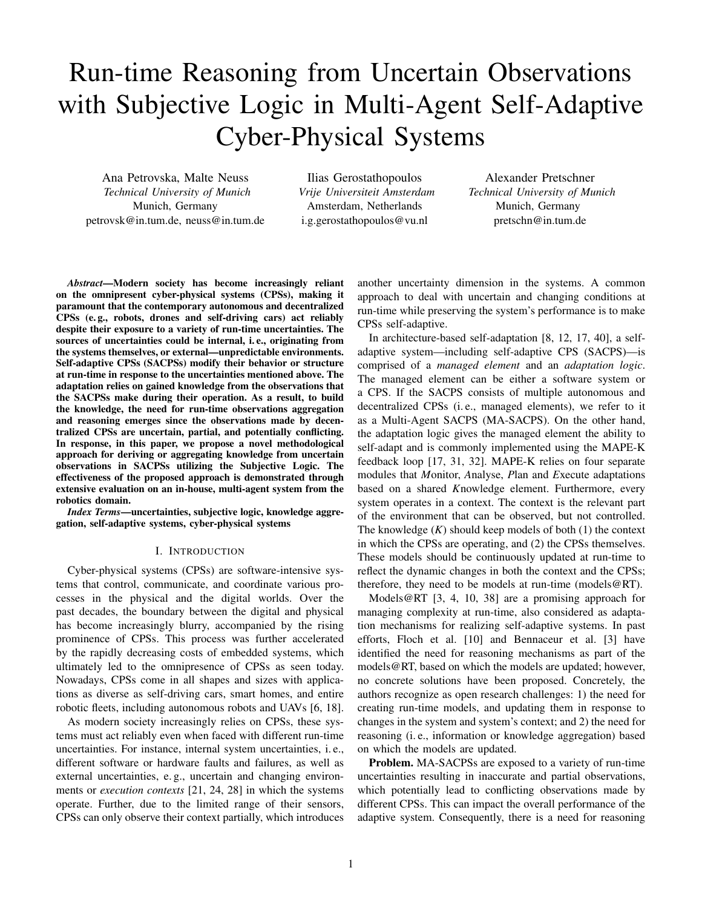# Run-time Reasoning from Uncertain Observations with Subjective Logic in Multi-Agent Self-Adaptive Cyber-Physical Systems

Ana Petrovska, Malte Neuss *Technical University of Munich* Munich, Germany petrovsk@in.tum.de, neuss@in.tum.de

Ilias Gerostathopoulos *Vrije Universiteit Amsterdam* Amsterdam, Netherlands i.g.gerostathopoulos@vu.nl

Alexander Pretschner *Technical University of Munich* Munich, Germany pretschn@in.tum.de

*Abstract*—Modern society has become increasingly reliant on the omnipresent cyber-physical systems (CPSs), making it paramount that the contemporary autonomous and decentralized CPSs (e. g., robots, drones and self-driving cars) act reliably despite their exposure to a variety of run-time uncertainties. The sources of uncertainties could be internal, i. e., originating from the systems themselves, or external—unpredictable environments. Self-adaptive CPSs (SACPSs) modify their behavior or structure at run-time in response to the uncertainties mentioned above. The adaptation relies on gained knowledge from the observations that the SACPSs make during their operation. As a result, to build the knowledge, the need for run-time observations aggregation and reasoning emerges since the observations made by decentralized CPSs are uncertain, partial, and potentially conflicting. In response, in this paper, we propose a novel methodological approach for deriving or aggregating knowledge from uncertain observations in SACPSs utilizing the Subjective Logic. The effectiveness of the proposed approach is demonstrated through extensive evaluation on an in-house, multi-agent system from the robotics domain.

*Index Terms*—uncertainties, subjective logic, knowledge aggregation, self-adaptive systems, cyber-physical systems

### I. INTRODUCTION

Cyber-physical systems (CPSs) are software-intensive systems that control, communicate, and coordinate various processes in the physical and the digital worlds. Over the past decades, the boundary between the digital and physical has become increasingly blurry, accompanied by the rising prominence of CPSs. This process was further accelerated by the rapidly decreasing costs of embedded systems, which ultimately led to the omnipresence of CPSs as seen today. Nowadays, CPSs come in all shapes and sizes with applications as diverse as self-driving cars, smart homes, and entire robotic fleets, including autonomous robots and UAVs [6, 18].

As modern society increasingly relies on CPSs, these systems must act reliably even when faced with different run-time uncertainties. For instance, internal system uncertainties, i. e., different software or hardware faults and failures, as well as external uncertainties, e. g., uncertain and changing environments or *execution contexts* [21, 24, 28] in which the systems operate. Further, due to the limited range of their sensors, CPSs can only observe their context partially, which introduces another uncertainty dimension in the systems. A common approach to deal with uncertain and changing conditions at run-time while preserving the system's performance is to make CPSs self-adaptive.

In architecture-based self-adaptation [8, 12, 17, 40], a selfadaptive system—including self-adaptive CPS (SACPS)—is comprised of a *managed element* and an *adaptation logic*. The managed element can be either a software system or a CPS. If the SACPS consists of multiple autonomous and decentralized CPSs (i. e., managed elements), we refer to it as a Multi-Agent SACPS (MA-SACPS). On the other hand, the adaptation logic gives the managed element the ability to self-adapt and is commonly implemented using the MAPE-K feedback loop [17, 31, 32]. MAPE-K relies on four separate modules that *M*onitor, *A*nalyse, *P*lan and *E*xecute adaptations based on a shared *K*nowledge element. Furthermore, every system operates in a context. The context is the relevant part of the environment that can be observed, but not controlled. The knowledge (*K*) should keep models of both (1) the context in which the CPSs are operating, and (2) the CPSs themselves. These models should be continuously updated at run-time to reflect the dynamic changes in both the context and the CPSs; therefore, they need to be models at run-time (models@RT).

Models@RT [3, 4, 10, 38] are a promising approach for managing complexity at run-time, also considered as adaptation mechanisms for realizing self-adaptive systems. In past efforts, Floch et al. [10] and Bennaceur et al. [3] have identified the need for reasoning mechanisms as part of the models@RT, based on which the models are updated; however, no concrete solutions have been proposed. Concretely, the authors recognize as open research challenges: 1) the need for creating run-time models, and updating them in response to changes in the system and system's context; and 2) the need for reasoning (i. e., information or knowledge aggregation) based on which the models are updated.

Problem. MA-SACPSs are exposed to a variety of run-time uncertainties resulting in inaccurate and partial observations, which potentially lead to conflicting observations made by different CPSs. This can impact the overall performance of the adaptive system. Consequently, there is a need for reasoning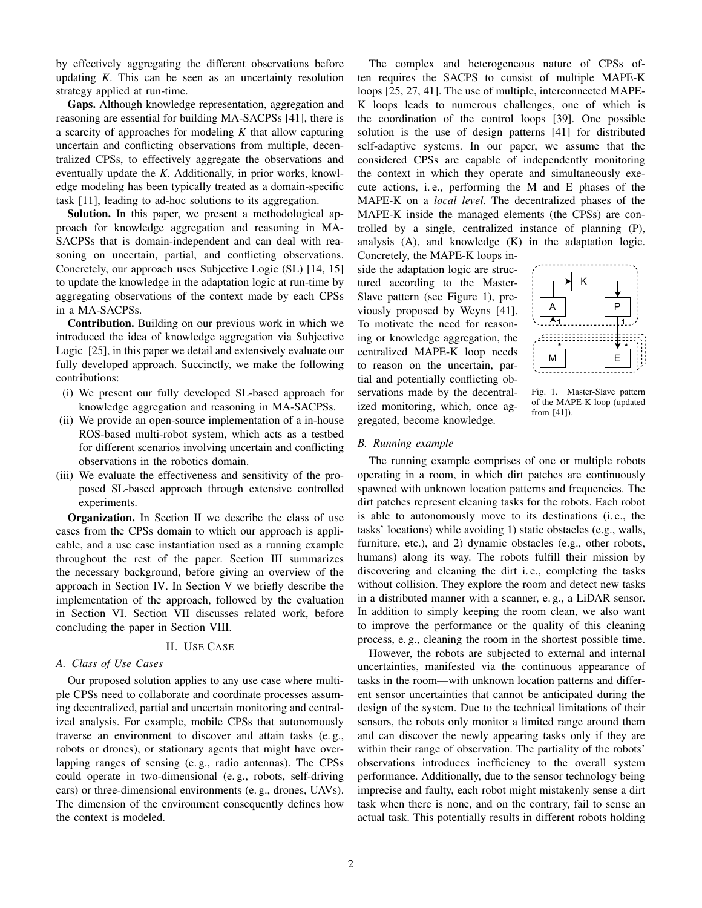by effectively aggregating the different observations before updating *K*. This can be seen as an uncertainty resolution strategy applied at run-time.

Gaps. Although knowledge representation, aggregation and reasoning are essential for building MA-SACPSs [41], there is a scarcity of approaches for modeling *K* that allow capturing uncertain and conflicting observations from multiple, decentralized CPSs, to effectively aggregate the observations and eventually update the *K*. Additionally, in prior works, knowledge modeling has been typically treated as a domain-specific task [11], leading to ad-hoc solutions to its aggregation.

Solution. In this paper, we present a methodological approach for knowledge aggregation and reasoning in MA-SACPSs that is domain-independent and can deal with reasoning on uncertain, partial, and conflicting observations. Concretely, our approach uses Subjective Logic (SL) [14, 15] to update the knowledge in the adaptation logic at run-time by aggregating observations of the context made by each CPSs in a MA-SACPSs.

Contribution. Building on our previous work in which we introduced the idea of knowledge aggregation via Subjective Logic [25], in this paper we detail and extensively evaluate our fully developed approach. Succinctly, we make the following contributions:

- (i) We present our fully developed SL-based approach for knowledge aggregation and reasoning in MA-SACPSs.
- (ii) We provide an open-source implementation of a in-house ROS-based multi-robot system, which acts as a testbed for different scenarios involving uncertain and conflicting observations in the robotics domain.
- (iii) We evaluate the effectiveness and sensitivity of the proposed SL-based approach through extensive controlled experiments.

Organization. In Section II we describe the class of use cases from the CPSs domain to which our approach is applicable, and a use case instantiation used as a running example throughout the rest of the paper. Section III summarizes the necessary background, before giving an overview of the approach in Section IV. In Section V we briefly describe the implementation of the approach, followed by the evaluation in Section VI. Section VII discusses related work, before concluding the paper in Section VIII.

#### II. USE CASE

## *A. Class of Use Cases*

Our proposed solution applies to any use case where multiple CPSs need to collaborate and coordinate processes assuming decentralized, partial and uncertain monitoring and centralized analysis. For example, mobile CPSs that autonomously traverse an environment to discover and attain tasks (e. g., robots or drones), or stationary agents that might have overlapping ranges of sensing (e. g., radio antennas). The CPSs could operate in two-dimensional (e. g., robots, self-driving cars) or three-dimensional environments (e. g., drones, UAVs). The dimension of the environment consequently defines how the context is modeled.

The complex and heterogeneous nature of CPSs often requires the SACPS to consist of multiple MAPE-K loops [25, 27, 41]. The use of multiple, interconnected MAPE-K loops leads to numerous challenges, one of which is the coordination of the control loops [39]. One possible solution is the use of design patterns [41] for distributed self-adaptive systems. In our paper, we assume that the considered CPSs are capable of independently monitoring the context in which they operate and simultaneously execute actions, i. e., performing the M and E phases of the MAPE-K on a *local level*. The decentralized phases of the MAPE-K inside the managed elements (the CPSs) are controlled by a single, centralized instance of planning (P), analysis (A), and knowledge (K) in the adaptation logic.

Concretely, the MAPE-K loops inside the adaptation logic are structured according to the Master-Slave pattern (see Figure 1), previously proposed by Weyns [41]. To motivate the need for reasoning or knowledge aggregation, the centralized MAPE-K loop needs to reason on the uncertain, partial and potentially conflicting observations made by the decentralized monitoring, which, once aggregated, become knowledge.



Fig. 1. Master-Slave pattern of the MAPE-K loop (updated from [41]).

### *B. Running example*

The running example comprises of one or multiple robots operating in a room, in which dirt patches are continuously spawned with unknown location patterns and frequencies. The dirt patches represent cleaning tasks for the robots. Each robot is able to autonomously move to its destinations (i. e., the tasks' locations) while avoiding 1) static obstacles (e.g., walls, furniture, etc.), and 2) dynamic obstacles (e.g., other robots, humans) along its way. The robots fulfill their mission by discovering and cleaning the dirt i. e., completing the tasks without collision. They explore the room and detect new tasks in a distributed manner with a scanner, e. g., a LiDAR sensor. In addition to simply keeping the room clean, we also want to improve the performance or the quality of this cleaning process, e. g., cleaning the room in the shortest possible time.

However, the robots are subjected to external and internal uncertainties, manifested via the continuous appearance of tasks in the room—with unknown location patterns and different sensor uncertainties that cannot be anticipated during the design of the system. Due to the technical limitations of their sensors, the robots only monitor a limited range around them and can discover the newly appearing tasks only if they are within their range of observation. The partiality of the robots' observations introduces inefficiency to the overall system performance. Additionally, due to the sensor technology being imprecise and faulty, each robot might mistakenly sense a dirt task when there is none, and on the contrary, fail to sense an actual task. This potentially results in different robots holding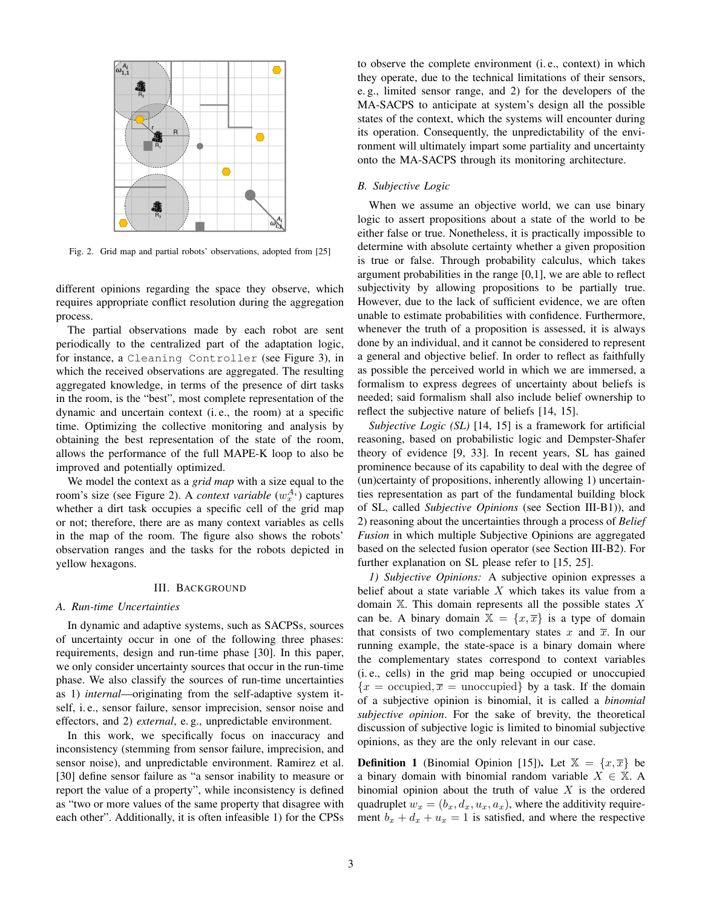

Fig. 2. Grid map and partial robots' observations, adopted from [25]

different opinions regarding the space they observe, which requires appropriate conflict resolution during the aggregation process.

The partial observations made by each robot are sent periodically to the centralized part of the adaptation logic, for instance, a Cleaning Controller (see Figure 3), in which the received observations are aggregated. The resulting aggregated knowledge, in terms of the presence of dirt tasks in the room, is the "best", most complete representation of the dynamic and uncertain context (i. e., the room) at a specific time. Optimizing the collective monitoring and analysis by obtaining the best representation of the state of the room, allows the performance of the full MAPE-K loop to also be improved and potentially optimized.

We model the context as a *grid map* with a size equal to the room's size (see Figure 2). A *context variable*  $(w_x^{A_i})$  captures whether a dirt task occupies a specific cell of the grid map or not; therefore, there are as many context variables as cells in the map of the room. The figure also shows the robots' observation ranges and the tasks for the robots depicted in yellow hexagons.

#### III. BACKGROUND

#### *A. Run-time Uncertainties*

In dynamic and adaptive systems, such as SACPSs, sources of uncertainty occur in one of the following three phases: requirements, design and run-time phase [30]. In this paper, we only consider uncertainty sources that occur in the run-time phase. We also classify the sources of run-time uncertainties as 1) *internal*—originating from the self-adaptive system itself, i. e., sensor failure, sensor imprecision, sensor noise and effectors, and 2) *external*, e. g., unpredictable environment.

In this work, we specifically focus on inaccuracy and inconsistency (stemming from sensor failure, imprecision, and sensor noise), and unpredictable environment. Ramirez et al. [30] define sensor failure as "a sensor inability to measure or report the value of a property", while inconsistency is defined as "two or more values of the same property that disagree with each other". Additionally, it is often infeasible 1) for the CPSs to observe the complete environment (i. e., context) in which they operate, due to the technical limitations of their sensors, e. g., limited sensor range, and 2) for the developers of the MA-SACPS to anticipate at system's design all the possible states of the context, which the systems will encounter during its operation. Consequently, the unpredictability of the environment will ultimately impart some partiality and uncertainty onto the MA-SACPS through its monitoring architecture.

#### *B. Subjective Logic*

When we assume an objective world, we can use binary logic to assert propositions about a state of the world to be either false or true. Nonetheless, it is practically impossible to determine with absolute certainty whether a given proposition is true or false. Through probability calculus, which takes argument probabilities in the range [0,1], we are able to reflect subjectivity by allowing propositions to be partially true. However, due to the lack of sufficient evidence, we are often unable to estimate probabilities with confidence. Furthermore, whenever the truth of a proposition is assessed, it is always done by an individual, and it cannot be considered to represent a general and objective belief. In order to reflect as faithfully as possible the perceived world in which we are immersed, a formalism to express degrees of uncertainty about beliefs is needed; said formalism shall also include belief ownership to reflect the subjective nature of beliefs [14, 15].

*Subjective Logic (SL)* [14, 15] is a framework for artificial reasoning, based on probabilistic logic and Dempster-Shafer theory of evidence [9, 33]. In recent years, SL has gained prominence because of its capability to deal with the degree of (un)certainty of propositions, inherently allowing 1) uncertainties representation as part of the fundamental building block of SL, called *Subjective Opinions* (see Section III-B1)), and 2) reasoning about the uncertainties through a process of *Belief Fusion* in which multiple Subjective Opinions are aggregated based on the selected fusion operator (see Section III-B2). For further explanation on SL please refer to [15, 25].

*1) Subjective Opinions:* A subjective opinion expresses a belief about a state variable  $X$  which takes its value from a domain  $X$ . This domain represents all the possible states  $X$ can be. A binary domain  $X = \{x, \overline{x}\}\$ is a type of domain that consists of two complementary states x and  $\overline{x}$ . In our running example, the state-space is a binary domain where the complementary states correspond to context variables (i. e., cells) in the grid map being occupied or unoccupied  ${x = \text{occupied}, \overline{x} = \text{unoccupied}$  by a task. If the domain of a subjective opinion is binomial, it is called a *binomial subjective opinion*. For the sake of brevity, the theoretical discussion of subjective logic is limited to binomial subjective opinions, as they are the only relevant in our case.

**Definition 1** (Binomial Opinion [15]). Let  $X = \{x, \overline{x}\}\)$  be a binary domain with binomial random variable  $X \in \mathbb{X}$ . A binomial opinion about the truth of value  $X$  is the ordered quadruplet  $w_x = (b_x, d_x, u_x, a_x)$ , where the additivity requirement  $b_x + d_x + u_x = 1$  is satisfied, and where the respective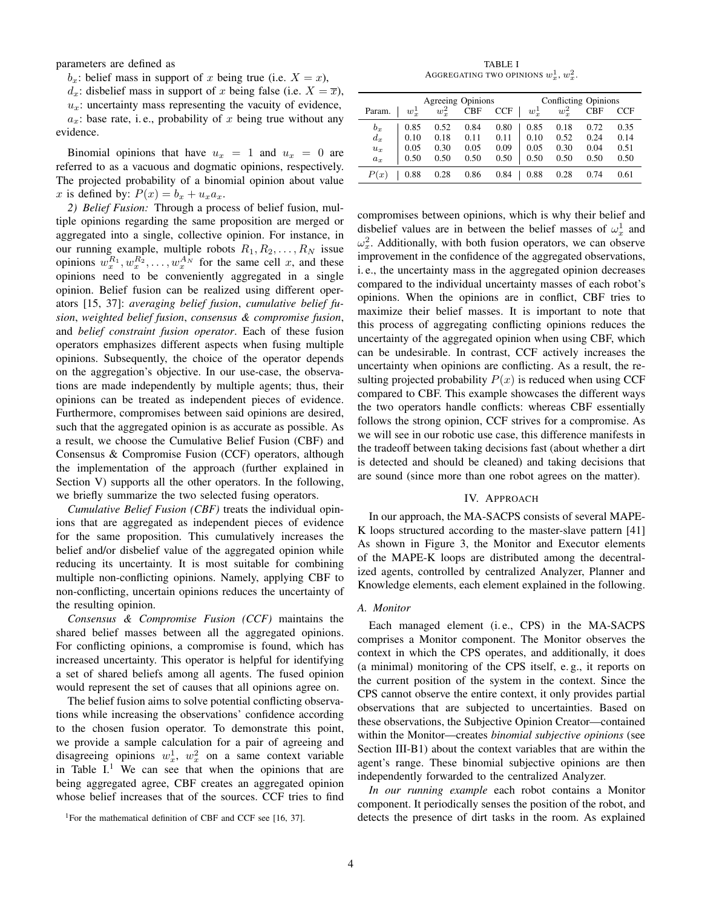parameters are defined as

 $b_x$ : belief mass in support of x being true (i.e.  $X = x$ ),

 $d_x$ : disbelief mass in support of x being false (i.e.  $X = \overline{x}$ ),

 $u_x$ : uncertainty mass representing the vacuity of evidence,  $a_x$ : base rate, i.e., probability of x being true without any evidence.

Binomial opinions that have  $u_x = 1$  and  $u_x = 0$  are referred to as a vacuous and dogmatic opinions, respectively. The projected probability of a binomial opinion about value x is defined by:  $P(x) = b_x + u_x a_x$ .

*2) Belief Fusion:* Through a process of belief fusion, multiple opinions regarding the same proposition are merged or aggregated into a single, collective opinion. For instance, in our running example, multiple robots  $R_1, R_2, \ldots, R_N$  issue opinions  $w_x^{R_1}, w_x^{R_2}, \dots, w_x^{A_N}$  for the same cell x, and these opinions need to be conveniently aggregated in a single opinion. Belief fusion can be realized using different operators [15, 37]: *averaging belief fusion*, *cumulative belief fusion*, *weighted belief fusion*, *consensus & compromise fusion*, and *belief constraint fusion operator*. Each of these fusion operators emphasizes different aspects when fusing multiple opinions. Subsequently, the choice of the operator depends on the aggregation's objective. In our use-case, the observations are made independently by multiple agents; thus, their opinions can be treated as independent pieces of evidence. Furthermore, compromises between said opinions are desired, such that the aggregated opinion is as accurate as possible. As a result, we choose the Cumulative Belief Fusion (CBF) and Consensus & Compromise Fusion (CCF) operators, although the implementation of the approach (further explained in Section V) supports all the other operators. In the following, we briefly summarize the two selected fusing operators.

*Cumulative Belief Fusion (CBF)* treats the individual opinions that are aggregated as independent pieces of evidence for the same proposition. This cumulatively increases the belief and/or disbelief value of the aggregated opinion while reducing its uncertainty. It is most suitable for combining multiple non-conflicting opinions. Namely, applying CBF to non-conflicting, uncertain opinions reduces the uncertainty of the resulting opinion.

*Consensus & Compromise Fusion (CCF)* maintains the shared belief masses between all the aggregated opinions. For conflicting opinions, a compromise is found, which has increased uncertainty. This operator is helpful for identifying a set of shared beliefs among all agents. The fused opinion would represent the set of causes that all opinions agree on.

The belief fusion aims to solve potential conflicting observations while increasing the observations' confidence according to the chosen fusion operator. To demonstrate this point, we provide a sample calculation for a pair of agreeing and disagreeing opinions  $w_x^1$ ,  $w_x^2$  on a same context variable in Table  $I<sup>1</sup>$ . We can see that when the opinions that are being aggregated agree, CBF creates an aggregated opinion whose belief increases that of the sources. CCF tries to find

TABLE I AGGREGATING TWO OPINIONS  $w^1_x, w^2_x$ .

| Agreeing Opinions |              |              |            |            | Conflicting Opinions |         |            |            |
|-------------------|--------------|--------------|------------|------------|----------------------|---------|------------|------------|
| Param.            | $w^1_{\tau}$ | $w_{\tau}^2$ | <b>CBF</b> | <b>CCF</b> | $w^1_r$              | $w_x^2$ | <b>CBF</b> | <b>CCF</b> |
| $b_x$             | 0.85         | 0.52         | 0.84       | 0.80       | 0.85                 | 0.18    | 0.72       | 0.35       |
| $d_x$             | 0.10         | 0.18         | 0.11       | 0.11       | 0.10                 | 0.52    | 0.24       | 0.14       |
| $u_x$             | 0.05         | 0.30         | 0.05       | 0.09       | 0.05                 | 0.30    | 0.04       | 0.51       |
| $a_x$             | 0.50         | 0.50         | 0.50       | 0.50       | 0.50                 | 0.50    | 0.50       | 0.50       |
| P(x)              | 0.88         | 0.28         | 0.86       | 0.84       | 0.88                 | 0.28    | 0.74       | 0.61       |
|                   |              |              |            |            |                      |         |            |            |

compromises between opinions, which is why their belief and disbelief values are in between the belief masses of  $\omega_x^1$  and  $\omega_x^2$ . Additionally, with both fusion operators, we can observe improvement in the confidence of the aggregated observations, i. e., the uncertainty mass in the aggregated opinion decreases compared to the individual uncertainty masses of each robot's opinions. When the opinions are in conflict, CBF tries to maximize their belief masses. It is important to note that this process of aggregating conflicting opinions reduces the uncertainty of the aggregated opinion when using CBF, which can be undesirable. In contrast, CCF actively increases the uncertainty when opinions are conflicting. As a result, the resulting projected probability  $P(x)$  is reduced when using CCF compared to CBF. This example showcases the different ways the two operators handle conflicts: whereas CBF essentially follows the strong opinion, CCF strives for a compromise. As we will see in our robotic use case, this difference manifests in the tradeoff between taking decisions fast (about whether a dirt is detected and should be cleaned) and taking decisions that are sound (since more than one robot agrees on the matter).

#### IV. APPROACH

In our approach, the MA-SACPS consists of several MAPE-K loops structured according to the master-slave pattern [41] As shown in Figure 3, the Monitor and Executor elements of the MAPE-K loops are distributed among the decentralized agents, controlled by centralized Analyzer, Planner and Knowledge elements, each element explained in the following.

#### *A. Monitor*

Each managed element (i.e., CPS) in the MA-SACPS comprises a Monitor component. The Monitor observes the context in which the CPS operates, and additionally, it does (a minimal) monitoring of the CPS itself, e. g., it reports on the current position of the system in the context. Since the CPS cannot observe the entire context, it only provides partial observations that are subjected to uncertainties. Based on these observations, the Subjective Opinion Creator—contained within the Monitor—creates *binomial subjective opinions* (see Section III-B1) about the context variables that are within the agent's range. These binomial subjective opinions are then independently forwarded to the centralized Analyzer.

*In our running example* each robot contains a Monitor component. It periodically senses the position of the robot, and detects the presence of dirt tasks in the room. As explained

<sup>&</sup>lt;sup>1</sup>For the mathematical definition of CBF and CCF see [16, 37].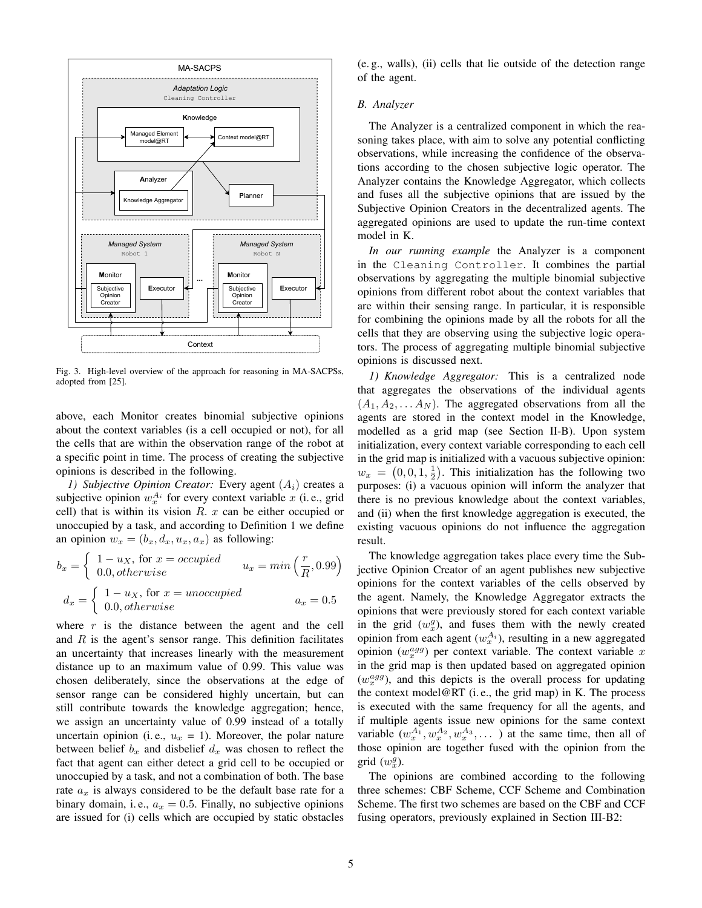

Fig. 3. High-level overview of the approach for reasoning in MA-SACPSs, adopted from [25].

above, each Monitor creates binomial subjective opinions about the context variables (is a cell occupied or not), for all the cells that are within the observation range of the robot at a specific point in time. The process of creating the subjective opinions is described in the following.

*1) Subjective Opinion Creator:* Every agent  $(A_i)$  creates a subjective opinion  $w_x^{A_i}$  for every context variable x (i.e., grid cell) that is within its vision  $R. x$  can be either occupied or unoccupied by a task, and according to Definition 1 we define an opinion  $w_x = (b_x, d_x, u_x, a_x)$  as following:

$$
b_x = \begin{cases} 1 - u_X, \text{ for } x = occupied \\ 0.0, otherwise \end{cases} \qquad u_x = min\left(\frac{r}{R}, 0.99\right)
$$

$$
d_x = \begin{cases} 1 - u_X, \text{ for } x = unoccupied \\ 0.0, otherwise \end{cases} \qquad a_x = 0.5
$$

where  $r$  is the distance between the agent and the cell and  $R$  is the agent's sensor range. This definition facilitates an uncertainty that increases linearly with the measurement distance up to an maximum value of 0.99. This value was chosen deliberately, since the observations at the edge of sensor range can be considered highly uncertain, but can still contribute towards the knowledge aggregation; hence, we assign an uncertainty value of 0.99 instead of a totally uncertain opinion (i.e.,  $u_x = 1$ ). Moreover, the polar nature between belief  $b_x$  and disbelief  $d_x$  was chosen to reflect the fact that agent can either detect a grid cell to be occupied or unoccupied by a task, and not a combination of both. The base rate  $a_x$  is always considered to be the default base rate for a binary domain, i. e.,  $a_x = 0.5$ . Finally, no subjective opinions are issued for (i) cells which are occupied by static obstacles (e. g., walls), (ii) cells that lie outside of the detection range of the agent.

### *B. Analyzer*

The Analyzer is a centralized component in which the reasoning takes place, with aim to solve any potential conflicting observations, while increasing the confidence of the observations according to the chosen subjective logic operator. The Analyzer contains the Knowledge Aggregator, which collects and fuses all the subjective opinions that are issued by the Subjective Opinion Creators in the decentralized agents. The aggregated opinions are used to update the run-time context model in K.

*In our running example* the Analyzer is a component in the Cleaning Controller. It combines the partial observations by aggregating the multiple binomial subjective opinions from different robot about the context variables that are within their sensing range. In particular, it is responsible for combining the opinions made by all the robots for all the cells that they are observing using the subjective logic operators. The process of aggregating multiple binomial subjective opinions is discussed next.

*1) Knowledge Aggregator:* This is a centralized node that aggregates the observations of the individual agents  $(A_1, A_2, \ldots, A_N)$ . The aggregated observations from all the agents are stored in the context model in the Knowledge, modelled as a grid map (see Section II-B). Upon system initialization, every context variable corresponding to each cell in the grid map is initialized with a vacuous subjective opinion:  $w_x = (0, 0, 1, \frac{1}{2})$ . This initialization has the following two purposes: (i) a vacuous opinion will inform the analyzer that there is no previous knowledge about the context variables, and (ii) when the first knowledge aggregation is executed, the existing vacuous opinions do not influence the aggregation result.

The knowledge aggregation takes place every time the Subjective Opinion Creator of an agent publishes new subjective opinions for the context variables of the cells observed by the agent. Namely, the Knowledge Aggregator extracts the opinions that were previously stored for each context variable in the grid  $(w_x^g)$ , and fuses them with the newly created opinion from each agent  $(w_x^{A_i})$ , resulting in a new aggregated opinion  $(w_x^{agg})$  per context variable. The context variable x in the grid map is then updated based on aggregated opinion  $(w_x^{agg})$ , and this depicts is the overall process for updating the context model@RT (i. e., the grid map) in K. The process is executed with the same frequency for all the agents, and if multiple agents issue new opinions for the same context variable  $(w_x^{A_1}, w_x^{A_2}, w_x^{A_3}, \dots)$  at the same time, then all of those opinion are together fused with the opinion from the  $grid(w_x^g)$ .

The opinions are combined according to the following three schemes: CBF Scheme, CCF Scheme and Combination Scheme. The first two schemes are based on the CBF and CCF fusing operators, previously explained in Section III-B2: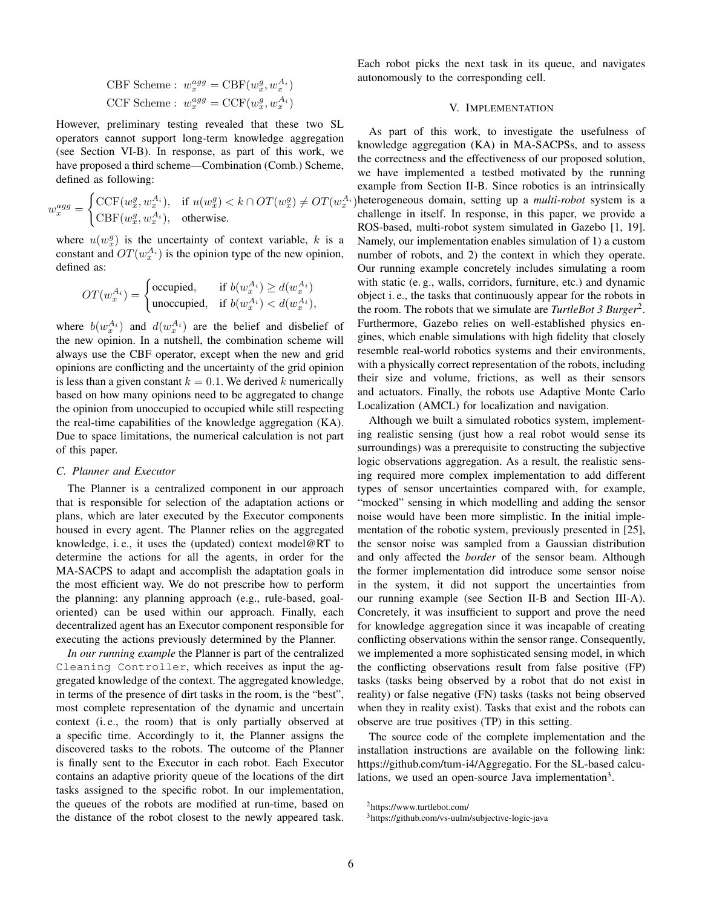$$
\begin{aligned} \text{CBF Scheme}: \ w_x^{agg} &= \text{CBF}(w_x^g, w_x^{A_i})\\ \text{CCF Scheme}: \ w_x^{agg} &= \text{CCF}(w_x^g, w_x^{A_i}) \end{aligned}
$$

However, preliminary testing revealed that these two SL operators cannot support long-term knowledge aggregation (see Section VI-B). In response, as part of this work, we have proposed a third scheme—Combination (Comb.) Scheme, defined as following:

$$
w_x^{agg} = \begin{cases} \text{CCF}(w_x^g, w_x^{A_i}), & \text{if } u(w_x^g) < k \cap OT(w_x^g) \neq OT(w_x^{A_i})\\ \text{CBF}(w_x^g, w_x^{A_i}), & \text{otherwise.} \end{cases}
$$

where  $u(w_x^g)$  is the uncertainty of context variable, k is a constant and  $OT(w_x^{A_i})$  is the opinion type of the new opinion, defined as:

$$
OT(w_x^{A_i}) = \begin{cases} \text{occupied}, & \text{if } b(w_x^{A_i}) \ge d(w_x^{A_i})\\ \text{unoccupied}, & \text{if } b(w_x^{A_i}) < d(w_x^{A_i}), \end{cases}
$$

where  $b(w_x^{A_i})$  and  $d(w_x^{A_i})$  are the belief and disbelief of the new opinion. In a nutshell, the combination scheme will always use the CBF operator, except when the new and grid opinions are conflicting and the uncertainty of the grid opinion is less than a given constant  $k = 0.1$ . We derived k numerically based on how many opinions need to be aggregated to change the opinion from unoccupied to occupied while still respecting the real-time capabilities of the knowledge aggregation (KA). Due to space limitations, the numerical calculation is not part of this paper.

#### *C. Planner and Executor*

The Planner is a centralized component in our approach that is responsible for selection of the adaptation actions or plans, which are later executed by the Executor components housed in every agent. The Planner relies on the aggregated knowledge, i. e., it uses the (updated) context model@RT to determine the actions for all the agents, in order for the MA-SACPS to adapt and accomplish the adaptation goals in the most efficient way. We do not prescribe how to perform the planning: any planning approach (e.g., rule-based, goaloriented) can be used within our approach. Finally, each decentralized agent has an Executor component responsible for executing the actions previously determined by the Planner.

*In our running example* the Planner is part of the centralized Cleaning Controller, which receives as input the aggregated knowledge of the context. The aggregated knowledge, in terms of the presence of dirt tasks in the room, is the "best", most complete representation of the dynamic and uncertain context (i. e., the room) that is only partially observed at a specific time. Accordingly to it, the Planner assigns the discovered tasks to the robots. The outcome of the Planner is finally sent to the Executor in each robot. Each Executor contains an adaptive priority queue of the locations of the dirt tasks assigned to the specific robot. In our implementation, the queues of the robots are modified at run-time, based on the distance of the robot closest to the newly appeared task. Each robot picks the next task in its queue, and navigates autonomously to the corresponding cell.

## V. IMPLEMENTATION

As part of this work, to investigate the usefulness of knowledge aggregation (KA) in MA-SACPSs, and to assess the correctness and the effectiveness of our proposed solution, we have implemented a testbed motivated by the running example from Section II-B. Since robotics is an intrinsically heterogeneous domain, setting up a *multi-robot* system is a challenge in itself. In response, in this paper, we provide a ROS-based, multi-robot system simulated in Gazebo [1, 19]. Namely, our implementation enables simulation of 1) a custom number of robots, and 2) the context in which they operate. Our running example concretely includes simulating a room with static (e. g., walls, corridors, furniture, etc.) and dynamic object i. e., the tasks that continuously appear for the robots in the room. The robots that we simulate are *TurtleBot 3 Burger*<sup>2</sup> . Furthermore, Gazebo relies on well-established physics engines, which enable simulations with high fidelity that closely resemble real-world robotics systems and their environments, with a physically correct representation of the robots, including their size and volume, frictions, as well as their sensors and actuators. Finally, the robots use Adaptive Monte Carlo Localization (AMCL) for localization and navigation.

Although we built a simulated robotics system, implementing realistic sensing (just how a real robot would sense its surroundings) was a prerequisite to constructing the subjective logic observations aggregation. As a result, the realistic sensing required more complex implementation to add different types of sensor uncertainties compared with, for example, "mocked" sensing in which modelling and adding the sensor noise would have been more simplistic. In the initial implementation of the robotic system, previously presented in [25], the sensor noise was sampled from a Gaussian distribution and only affected the *border* of the sensor beam. Although the former implementation did introduce some sensor noise in the system, it did not support the uncertainties from our running example (see Section II-B and Section III-A). Concretely, it was insufficient to support and prove the need for knowledge aggregation since it was incapable of creating conflicting observations within the sensor range. Consequently, we implemented a more sophisticated sensing model, in which the conflicting observations result from false positive (FP) tasks (tasks being observed by a robot that do not exist in reality) or false negative (FN) tasks (tasks not being observed when they in reality exist). Tasks that exist and the robots can observe are true positives (TP) in this setting.

The source code of the complete implementation and the installation instructions are available on the following link: https://github.com/tum-i4/Aggregatio. For the SL-based calculations, we used an open-source Java implementation<sup>3</sup>.

<sup>2</sup>https://www.turtlebot.com/

<sup>3</sup>https://github.com/vs-uulm/subjective-logic-java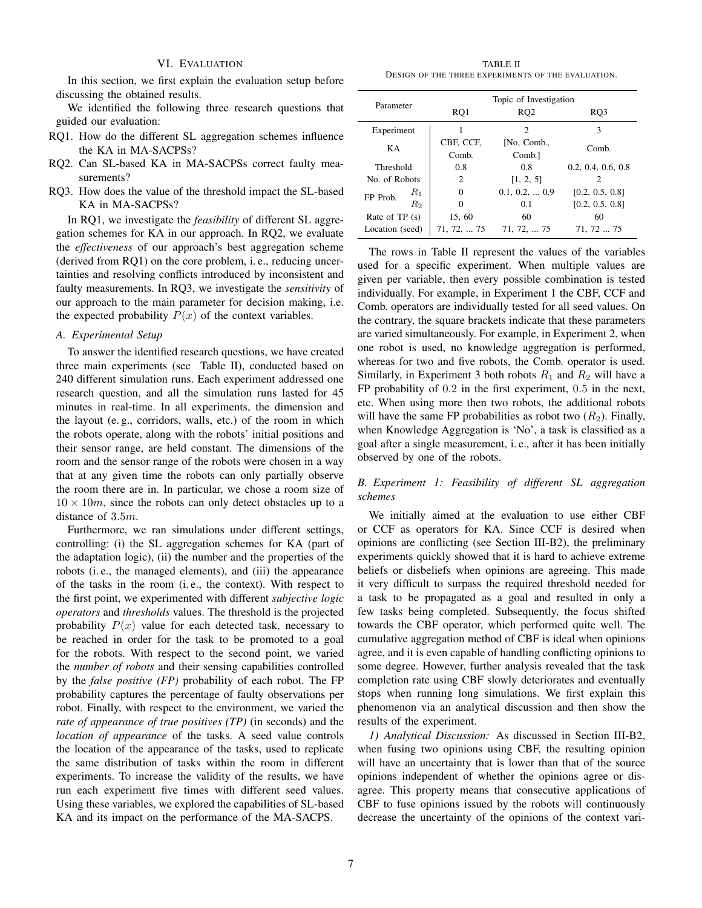## VI. EVALUATION

In this section, we first explain the evaluation setup before discussing the obtained results.

We identified the following three research questions that guided our evaluation:

- RQ1. How do the different SL aggregation schemes influence the KA in MA-SACPSs?
- RQ2. Can SL-based KA in MA-SACPSs correct faulty measurements?
- RQ3. How does the value of the threshold impact the SL-based KA in MA-SACPSs?

In RQ1, we investigate the *feasibility* of different SL aggregation schemes for KA in our approach. In RQ2, we evaluate the *effectiveness* of our approach's best aggregation scheme (derived from RQ1) on the core problem, i. e., reducing uncertainties and resolving conflicts introduced by inconsistent and faulty measurements. In RQ3, we investigate the *sensitivity* of our approach to the main parameter for decision making, i.e. the expected probability  $P(x)$  of the context variables.

#### *A. Experimental Setup*

To answer the identified research questions, we have created three main experiments (see Table II), conducted based on 240 different simulation runs. Each experiment addressed one research question, and all the simulation runs lasted for 45 minutes in real-time. In all experiments, the dimension and the layout (e. g., corridors, walls, etc.) of the room in which the robots operate, along with the robots' initial positions and their sensor range, are held constant. The dimensions of the room and the sensor range of the robots were chosen in a way that at any given time the robots can only partially observe the room there are in. In particular, we chose a room size of  $10 \times 10m$ , since the robots can only detect obstacles up to a distance of 3.5m.

Furthermore, we ran simulations under different settings, controlling: (i) the SL aggregation schemes for KA (part of the adaptation logic), (ii) the number and the properties of the robots (i. e., the managed elements), and (iii) the appearance of the tasks in the room (i. e., the context). With respect to the first point, we experimented with different *subjective logic operators* and *thresholds* values. The threshold is the projected probability  $P(x)$  value for each detected task, necessary to be reached in order for the task to be promoted to a goal for the robots. With respect to the second point, we varied the *number of robots* and their sensing capabilities controlled by the *false positive (FP)* probability of each robot. The FP probability captures the percentage of faulty observations per robot. Finally, with respect to the environment, we varied the *rate of appearance of true positives (TP)* (in seconds) and the *location of appearance* of the tasks. A seed value controls the location of the appearance of the tasks, used to replicate the same distribution of tasks within the room in different experiments. To increase the validity of the results, we have run each experiment five times with different seed values. Using these variables, we explored the capabilities of SL-based KA and its impact on the performance of the MA-SACPS.

TABLE II DESIGN OF THE THREE EXPERIMENTS OF THE EVALUATION.

| Parameter       |         | RQ1                | Topic of Investigation<br>RQ <sub>2</sub> | RO <sub>3</sub>    |  |
|-----------------|---------|--------------------|-------------------------------------------|--------------------|--|
| Experiment      |         |                    | 2                                         | 3                  |  |
| KA              |         | CBF, CCF,<br>Comb. | [No, Comb.,<br>Comb.                      | Comb.              |  |
| Threshold       |         | 0.8                | 0.8                                       | 0.2, 0.4, 0.6, 0.8 |  |
| No. of Robots   |         | 2                  | [1, 2, 5]                                 | 7                  |  |
| FP Prob.        | $R_1$   | $\Omega$           | $0.1, 0.2, \ldots 0.9$                    | [0.2, 0.5, 0.8]    |  |
|                 | $R_{2}$ | $\Omega$           | 0.1                                       | [0.2, 0.5, 0.8]    |  |
| Rate of $TP(s)$ |         | 15,60              | 60                                        | 60                 |  |
| Location (seed) |         | 71, 72,  75        | 71, 72,  75                               | 71, 72  75         |  |

The rows in Table II represent the values of the variables used for a specific experiment. When multiple values are given per variable, then every possible combination is tested individually. For example, in Experiment 1 the CBF, CCF and Comb. operators are individually tested for all seed values. On the contrary, the square brackets indicate that these parameters are varied simultaneously. For example, in Experiment 2, when one robot is used, no knowledge aggregation is performed, whereas for two and five robots, the Comb. operator is used. Similarly, in Experiment 3 both robots  $R_1$  and  $R_2$  will have a FP probability of 0.2 in the first experiment, 0.5 in the next, etc. When using more then two robots, the additional robots will have the same FP probabilities as robot two  $(R_2)$ . Finally, when Knowledge Aggregation is 'No', a task is classified as a goal after a single measurement, i. e., after it has been initially observed by one of the robots.

## *B. Experiment 1: Feasibility of different SL aggregation schemes*

We initially aimed at the evaluation to use either CBF or CCF as operators for KA. Since CCF is desired when opinions are conflicting (see Section III-B2), the preliminary experiments quickly showed that it is hard to achieve extreme beliefs or disbeliefs when opinions are agreeing. This made it very difficult to surpass the required threshold needed for a task to be propagated as a goal and resulted in only a few tasks being completed. Subsequently, the focus shifted towards the CBF operator, which performed quite well. The cumulative aggregation method of CBF is ideal when opinions agree, and it is even capable of handling conflicting opinions to some degree. However, further analysis revealed that the task completion rate using CBF slowly deteriorates and eventually stops when running long simulations. We first explain this phenomenon via an analytical discussion and then show the results of the experiment.

*1) Analytical Discussion:* As discussed in Section III-B2, when fusing two opinions using CBF, the resulting opinion will have an uncertainty that is lower than that of the source opinions independent of whether the opinions agree or disagree. This property means that consecutive applications of CBF to fuse opinions issued by the robots will continuously decrease the uncertainty of the opinions of the context vari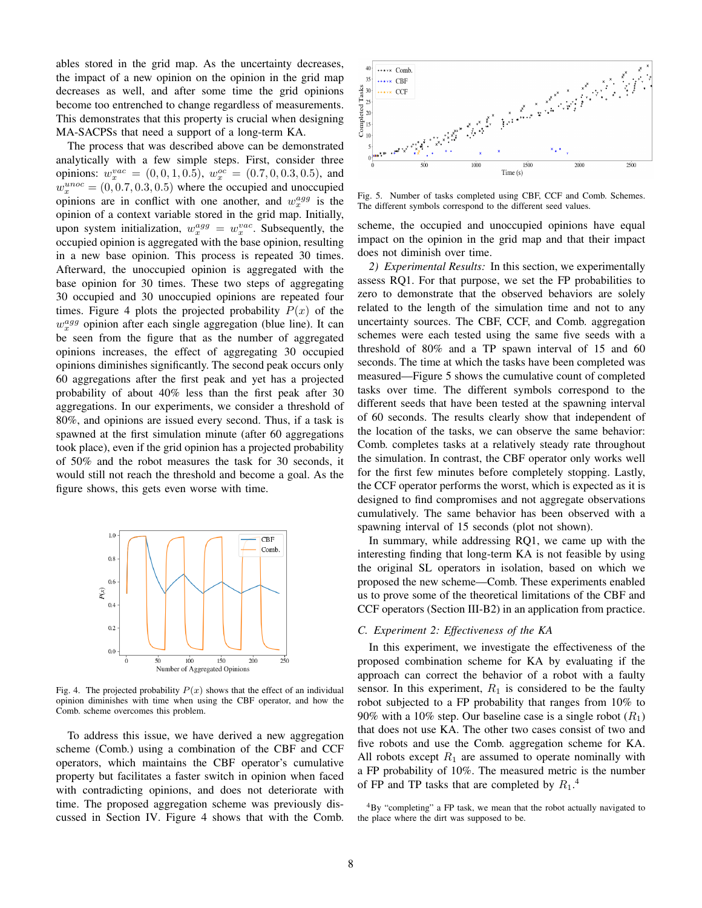ables stored in the grid map. As the uncertainty decreases, the impact of a new opinion on the opinion in the grid map decreases as well, and after some time the grid opinions become too entrenched to change regardless of measurements. This demonstrates that this property is crucial when designing MA-SACPSs that need a support of a long-term KA.

The process that was described above can be demonstrated analytically with a few simple steps. First, consider three opinions:  $w_x^{vac} = (0, 0, 1, 0.5), w_x^{oc} = (0.7, 0, 0.3, 0.5),$  and  $w_x^{unoc} = (0, 0.7, 0.3, 0.5)$  where the occupied and unoccupied opinions are in conflict with one another, and  $w_x^{agg}$  is the opinion of a context variable stored in the grid map. Initially, upon system initialization,  $w_x^{agg} = w_x^{vac}$ . Subsequently, the occupied opinion is aggregated with the base opinion, resulting in a new base opinion. This process is repeated 30 times. Afterward, the unoccupied opinion is aggregated with the base opinion for 30 times. These two steps of aggregating 30 occupied and 30 unoccupied opinions are repeated four times. Figure 4 plots the projected probability  $P(x)$  of the  $w_x^{agg}$  opinion after each single aggregation (blue line). It can be seen from the figure that as the number of aggregated opinions increases, the effect of aggregating 30 occupied opinions diminishes significantly. The second peak occurs only 60 aggregations after the first peak and yet has a projected probability of about 40% less than the first peak after 30 aggregations. In our experiments, we consider a threshold of 80%, and opinions are issued every second. Thus, if a task is spawned at the first simulation minute (after 60 aggregations took place), even if the grid opinion has a projected probability of 50% and the robot measures the task for 30 seconds, it would still not reach the threshold and become a goal. As the figure shows, this gets even worse with time.



Fig. 4. The projected probability  $P(x)$  shows that the effect of an individual opinion diminishes with time when using the CBF operator, and how the Comb. scheme overcomes this problem.

To address this issue, we have derived a new aggregation scheme (Comb.) using a combination of the CBF and CCF operators, which maintains the CBF operator's cumulative property but facilitates a faster switch in opinion when faced with contradicting opinions, and does not deteriorate with time. The proposed aggregation scheme was previously discussed in Section IV. Figure 4 shows that with the Comb.



Fig. 5. Number of tasks completed using CBF, CCF and Comb. Schemes. The different symbols correspond to the different seed values.

scheme, the occupied and unoccupied opinions have equal impact on the opinion in the grid map and that their impact does not diminish over time.

*2) Experimental Results:* In this section, we experimentally assess RQ1. For that purpose, we set the FP probabilities to zero to demonstrate that the observed behaviors are solely related to the length of the simulation time and not to any uncertainty sources. The CBF, CCF, and Comb. aggregation schemes were each tested using the same five seeds with a threshold of 80% and a TP spawn interval of 15 and 60 seconds. The time at which the tasks have been completed was measured—Figure 5 shows the cumulative count of completed tasks over time. The different symbols correspond to the different seeds that have been tested at the spawning interval of 60 seconds. The results clearly show that independent of the location of the tasks, we can observe the same behavior: Comb. completes tasks at a relatively steady rate throughout the simulation. In contrast, the CBF operator only works well for the first few minutes before completely stopping. Lastly, the CCF operator performs the worst, which is expected as it is designed to find compromises and not aggregate observations cumulatively. The same behavior has been observed with a spawning interval of 15 seconds (plot not shown).

In summary, while addressing RQ1, we came up with the interesting finding that long-term KA is not feasible by using the original SL operators in isolation, based on which we proposed the new scheme—Comb. These experiments enabled us to prove some of the theoretical limitations of the CBF and CCF operators (Section III-B2) in an application from practice.

## *C. Experiment 2: Effectiveness of the KA*

In this experiment, we investigate the effectiveness of the proposed combination scheme for KA by evaluating if the approach can correct the behavior of a robot with a faulty sensor. In this experiment,  $R_1$  is considered to be the faulty robot subjected to a FP probability that ranges from 10% to 90% with a 10% step. Our baseline case is a single robot  $(R_1)$ that does not use KA. The other two cases consist of two and five robots and use the Comb. aggregation scheme for KA. All robots except  $R_1$  are assumed to operate nominally with a FP probability of 10%. The measured metric is the number of FP and TP tasks that are completed by  $R_1$ .<sup>4</sup>

<sup>4</sup>By "completing" a FP task, we mean that the robot actually navigated to the place where the dirt was supposed to be.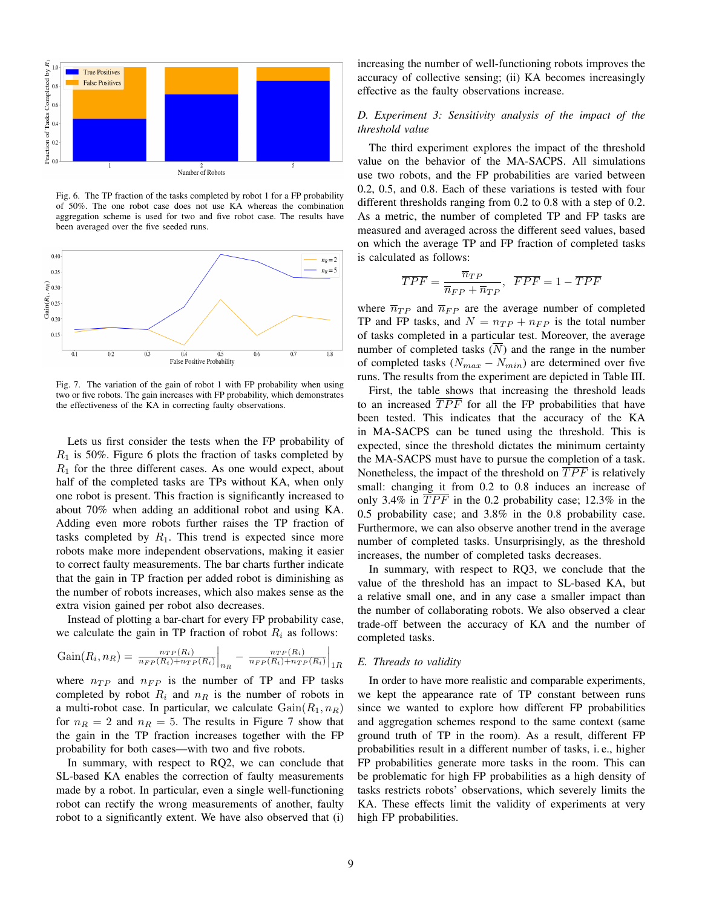

Fig. 6. The TP fraction of the tasks completed by robot 1 for a FP probability of 50%. The one robot case does not use KA whereas the combination aggregation scheme is used for two and five robot case. The results have been averaged over the five seeded runs.



Fig. 7. The variation of the gain of robot 1 with FP probability when using two or five robots. The gain increases with FP probability, which demonstrates the effectiveness of the KA in correcting faulty observations.

Lets us first consider the tests when the FP probability of  $R_1$  is 50%. Figure 6 plots the fraction of tasks completed by  $R_1$  for the three different cases. As one would expect, about half of the completed tasks are TPs without KA, when only one robot is present. This fraction is significantly increased to about 70% when adding an additional robot and using KA. Adding even more robots further raises the TP fraction of tasks completed by  $R_1$ . This trend is expected since more robots make more independent observations, making it easier to correct faulty measurements. The bar charts further indicate that the gain in TP fraction per added robot is diminishing as the number of robots increases, which also makes sense as the extra vision gained per robot also decreases.

Instead of plotting a bar-chart for every FP probability case, we calculate the gain in TP fraction of robot  $R_i$  as follows:

$$
Gain(R_i, n_R) = \left. \frac{n_{TP}(R_i)}{n_{FP}(R_i) + n_{TP}(R_i)} \right|_{n_R} - \left. \frac{n_{TP}(R_i)}{n_{FP}(R_i) + n_{TP}(R_i)} \right|_{1R}
$$

where  $n_{TP}$  and  $n_{FP}$  is the number of TP and FP tasks completed by robot  $R_i$  and  $n_R$  is the number of robots in a multi-robot case. In particular, we calculate  $Gain(R_1, n_R)$ for  $n_R = 2$  and  $n_R = 5$ . The results in Figure 7 show that the gain in the TP fraction increases together with the FP probability for both cases—with two and five robots.

In summary, with respect to RQ2, we can conclude that SL-based KA enables the correction of faulty measurements made by a robot. In particular, even a single well-functioning robot can rectify the wrong measurements of another, faulty robot to a significantly extent. We have also observed that (i)

increasing the number of well-functioning robots improves the accuracy of collective sensing; (ii) KA becomes increasingly effective as the faulty observations increase.

## *D. Experiment 3: Sensitivity analysis of the impact of the threshold value*

The third experiment explores the impact of the threshold value on the behavior of the MA-SACPS. All simulations use two robots, and the FP probabilities are varied between 0.2, 0.5, and 0.8. Each of these variations is tested with four different thresholds ranging from 0.2 to 0.8 with a step of 0.2. As a metric, the number of completed TP and FP tasks are measured and averaged across the different seed values, based on which the average TP and FP fraction of completed tasks is calculated as follows:

$$
\overline{TPF} = \frac{\overline{n}_{TP}}{\overline{n}_{FP} + \overline{n}_{TP}}, \ \ \overline{FPF} = 1 - \overline{TPF}
$$

where  $\overline{n}_{TP}$  and  $\overline{n}_{FP}$  are the average number of completed TP and FP tasks, and  $N = n_{TP} + n_{FP}$  is the total number of tasks completed in a particular test. Moreover, the average number of completed tasks  $(\overline{N})$  and the range in the number of completed tasks ( $N_{max} - N_{min}$ ) are determined over five runs. The results from the experiment are depicted in Table III.

First, the table shows that increasing the threshold leads to an increased  $\overline{TPF}$  for all the FP probabilities that have been tested. This indicates that the accuracy of the KA in MA-SACPS can be tuned using the threshold. This is expected, since the threshold dictates the minimum certainty the MA-SACPS must have to pursue the completion of a task. Nonetheless, the impact of the threshold on  $\overline{TPF}$  is relatively small: changing it from 0.2 to 0.8 induces an increase of only 3.4% in  $\overline{TPF}$  in the 0.2 probability case; 12.3% in the 0.5 probability case; and 3.8% in the 0.8 probability case. Furthermore, we can also observe another trend in the average number of completed tasks. Unsurprisingly, as the threshold increases, the number of completed tasks decreases.

In summary, with respect to RQ3, we conclude that the value of the threshold has an impact to SL-based KA, but a relative small one, and in any case a smaller impact than the number of collaborating robots. We also observed a clear trade-off between the accuracy of KA and the number of completed tasks.

## *E. Threads to validity*

In order to have more realistic and comparable experiments, we kept the appearance rate of TP constant between runs since we wanted to explore how different FP probabilities and aggregation schemes respond to the same context (same ground truth of TP in the room). As a result, different FP probabilities result in a different number of tasks, i. e., higher FP probabilities generate more tasks in the room. This can be problematic for high FP probabilities as a high density of tasks restricts robots' observations, which severely limits the KA. These effects limit the validity of experiments at very high FP probabilities.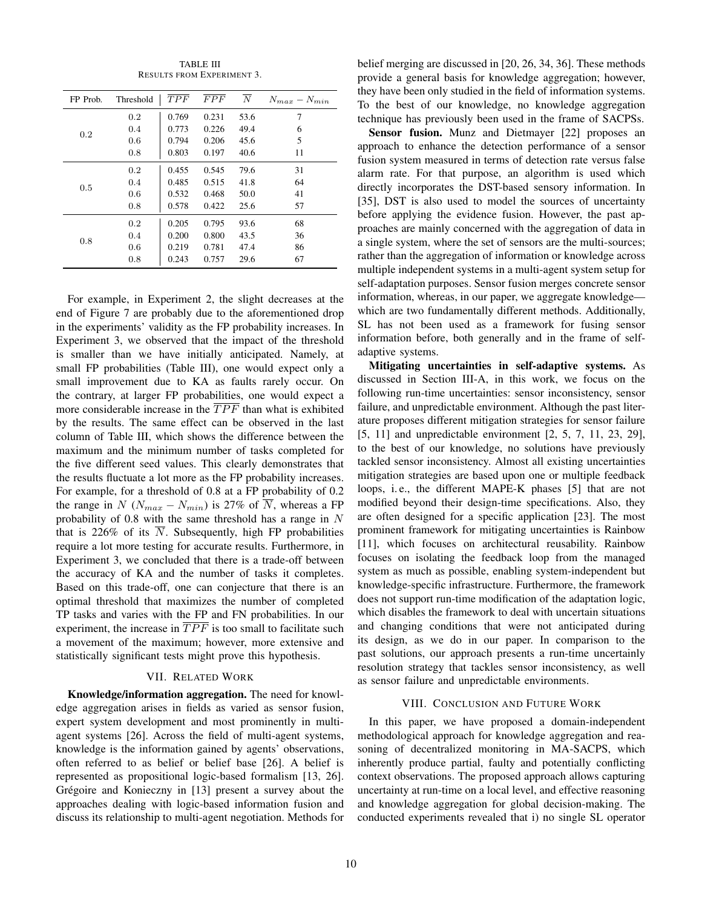| FP Prob. | Threshold | $\overline{TPF}$ | $\overline{FPF}$ | $\overline{N}$ | $N_{max} - N_{min}$ |
|----------|-----------|------------------|------------------|----------------|---------------------|
| 0.2      | 0.2       | 0.769            | 0.231            | 53.6           | 7                   |
|          | 0.4       | 0.773            | 0.226            | 49.4           | 6                   |
|          | 0.6       | 0.794            | 0.206            | 45.6           | 5                   |
|          | 0.8       | 0.803            | 0.197            | 40.6           | 11                  |
|          | 0.2       | 0.455            | 0.545            | 79.6           | 31                  |
| 0.5      | 0.4       | 0.485            | 0.515            | 41.8           | 64                  |
|          | 0.6       | 0.532            | 0.468            | 50.0           | 41                  |
|          | 0.8       | 0.578            | 0.422            | 25.6           | 57                  |
|          | 0.2       | 0.205            | 0.795            | 93.6           | 68                  |
| 0.8      | 0.4       | 0.200            | 0.800            | 43.5           | 36                  |
|          | 0.6       | 0.219            | 0.781            | 47.4           | 86                  |
|          | 0.8       | 0.243            | 0.757            | 29.6           | 67                  |

TABLE III RESULTS FROM EXPERIMENT 3.

For example, in Experiment 2, the slight decreases at the end of Figure 7 are probably due to the aforementioned drop in the experiments' validity as the FP probability increases. In Experiment 3, we observed that the impact of the threshold is smaller than we have initially anticipated. Namely, at small FP probabilities (Table III), one would expect only a small improvement due to KA as faults rarely occur. On the contrary, at larger FP probabilities, one would expect a more considerable increase in the  $\overline{TPF}$  than what is exhibited by the results. The same effect can be observed in the last column of Table III, which shows the difference between the maximum and the minimum number of tasks completed for the five different seed values. This clearly demonstrates that the results fluctuate a lot more as the FP probability increases. For example, for a threshold of 0.8 at a FP probability of 0.2 the range in N ( $N_{max} - N_{min}$ ) is 27% of  $\overline{N}$ , whereas a FP probability of 0.8 with the same threshold has a range in  $N$ that is  $226\%$  of its N. Subsequently, high FP probabilities require a lot more testing for accurate results. Furthermore, in Experiment 3, we concluded that there is a trade-off between the accuracy of KA and the number of tasks it completes. Based on this trade-off, one can conjecture that there is an optimal threshold that maximizes the number of completed TP tasks and varies with the FP and FN probabilities. In our experiment, the increase in  $\overline{TPF}$  is too small to facilitate such a movement of the maximum; however, more extensive and statistically significant tests might prove this hypothesis.

### VII. RELATED WORK

Knowledge/information aggregation. The need for knowledge aggregation arises in fields as varied as sensor fusion, expert system development and most prominently in multiagent systems [26]. Across the field of multi-agent systems, knowledge is the information gained by agents' observations, often referred to as belief or belief base [26]. A belief is represented as propositional logic-based formalism [13, 26]. Grégoire and Konieczny in [13] present a survey about the approaches dealing with logic-based information fusion and discuss its relationship to multi-agent negotiation. Methods for belief merging are discussed in [20, 26, 34, 36]. These methods provide a general basis for knowledge aggregation; however, they have been only studied in the field of information systems. To the best of our knowledge, no knowledge aggregation technique has previously been used in the frame of SACPSs.

Sensor fusion. Munz and Dietmayer [22] proposes an approach to enhance the detection performance of a sensor fusion system measured in terms of detection rate versus false alarm rate. For that purpose, an algorithm is used which directly incorporates the DST-based sensory information. In [35], DST is also used to model the sources of uncertainty before applying the evidence fusion. However, the past approaches are mainly concerned with the aggregation of data in a single system, where the set of sensors are the multi-sources; rather than the aggregation of information or knowledge across multiple independent systems in a multi-agent system setup for self-adaptation purposes. Sensor fusion merges concrete sensor information, whereas, in our paper, we aggregate knowledge which are two fundamentally different methods. Additionally, SL has not been used as a framework for fusing sensor information before, both generally and in the frame of selfadaptive systems.

Mitigating uncertainties in self-adaptive systems. As discussed in Section III-A, in this work, we focus on the following run-time uncertainties: sensor inconsistency, sensor failure, and unpredictable environment. Although the past literature proposes different mitigation strategies for sensor failure [5, 11] and unpredictable environment [2, 5, 7, 11, 23, 29], to the best of our knowledge, no solutions have previously tackled sensor inconsistency. Almost all existing uncertainties mitigation strategies are based upon one or multiple feedback loops, i. e., the different MAPE-K phases [5] that are not modified beyond their design-time specifications. Also, they are often designed for a specific application [23]. The most prominent framework for mitigating uncertainties is Rainbow [11], which focuses on architectural reusability. Rainbow focuses on isolating the feedback loop from the managed system as much as possible, enabling system-independent but knowledge-specific infrastructure. Furthermore, the framework does not support run-time modification of the adaptation logic, which disables the framework to deal with uncertain situations and changing conditions that were not anticipated during its design, as we do in our paper. In comparison to the past solutions, our approach presents a run-time uncertainly resolution strategy that tackles sensor inconsistency, as well as sensor failure and unpredictable environments.

#### VIII. CONCLUSION AND FUTURE WORK

In this paper, we have proposed a domain-independent methodological approach for knowledge aggregation and reasoning of decentralized monitoring in MA-SACPS, which inherently produce partial, faulty and potentially conflicting context observations. The proposed approach allows capturing uncertainty at run-time on a local level, and effective reasoning and knowledge aggregation for global decision-making. The conducted experiments revealed that i) no single SL operator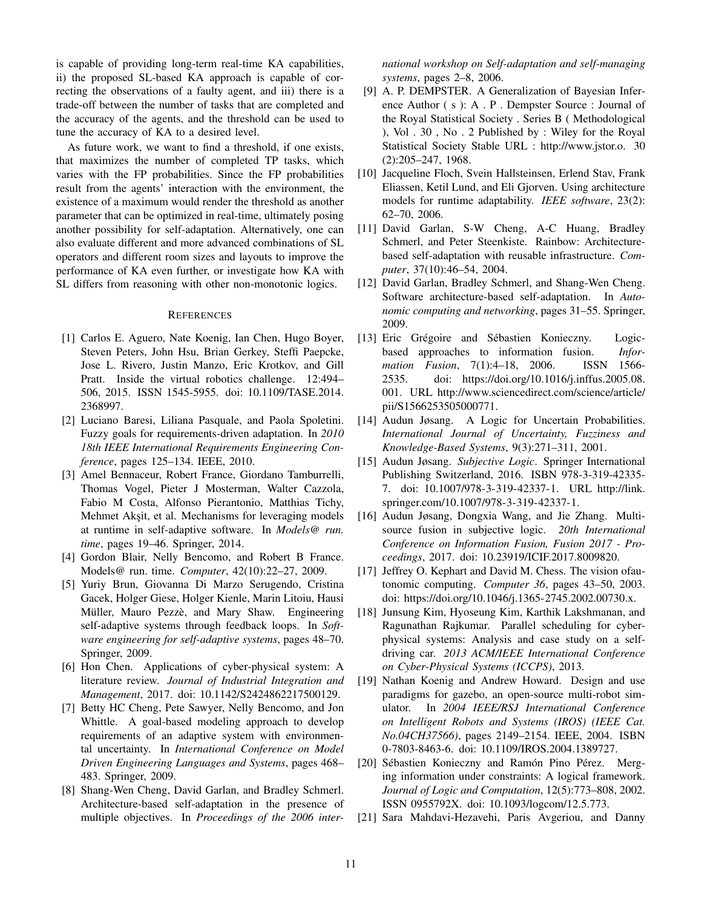is capable of providing long-term real-time KA capabilities, ii) the proposed SL-based KA approach is capable of correcting the observations of a faulty agent, and iii) there is a trade-off between the number of tasks that are completed and the accuracy of the agents, and the threshold can be used to tune the accuracy of KA to a desired level.

As future work, we want to find a threshold, if one exists, that maximizes the number of completed TP tasks, which varies with the FP probabilities. Since the FP probabilities result from the agents' interaction with the environment, the existence of a maximum would render the threshold as another parameter that can be optimized in real-time, ultimately posing another possibility for self-adaptation. Alternatively, one can also evaluate different and more advanced combinations of SL operators and different room sizes and layouts to improve the performance of KA even further, or investigate how KA with SL differs from reasoning with other non-monotonic logics.

## **REFERENCES**

- [1] Carlos E. Aguero, Nate Koenig, Ian Chen, Hugo Boyer, Steven Peters, John Hsu, Brian Gerkey, Steffi Paepcke, Jose L. Rivero, Justin Manzo, Eric Krotkov, and Gill Pratt. Inside the virtual robotics challenge. 12:494– 506, 2015. ISSN 1545-5955. doi: 10.1109/TASE.2014. 2368997.
- [2] Luciano Baresi, Liliana Pasquale, and Paola Spoletini. Fuzzy goals for requirements-driven adaptation. In *2010 18th IEEE International Requirements Engineering Conference*, pages 125–134. IEEE, 2010.
- [3] Amel Bennaceur, Robert France, Giordano Tamburrelli, Thomas Vogel, Pieter J Mosterman, Walter Cazzola, Fabio M Costa, Alfonso Pierantonio, Matthias Tichy, Mehmet Aksit, et al. Mechanisms for leveraging models at runtime in self-adaptive software. In *Models@ run. time*, pages 19–46. Springer, 2014.
- [4] Gordon Blair, Nelly Bencomo, and Robert B France. Models@ run. time. *Computer*, 42(10):22–27, 2009.
- [5] Yuriy Brun, Giovanna Di Marzo Serugendo, Cristina Gacek, Holger Giese, Holger Kienle, Marin Litoiu, Hausi Müller, Mauro Pezzè, and Mary Shaw. Engineering self-adaptive systems through feedback loops. In *Software engineering for self-adaptive systems*, pages 48–70. Springer, 2009.
- [6] Hon Chen. Applications of cyber-physical system: A literature review. *Journal of Industrial Integration and Management*, 2017. doi: 10.1142/S2424862217500129.
- [7] Betty HC Cheng, Pete Sawyer, Nelly Bencomo, and Jon Whittle. A goal-based modeling approach to develop requirements of an adaptive system with environmental uncertainty. In *International Conference on Model Driven Engineering Languages and Systems*, pages 468– 483. Springer, 2009.
- [8] Shang-Wen Cheng, David Garlan, and Bradley Schmerl. Architecture-based self-adaptation in the presence of multiple objectives. In *Proceedings of the 2006 inter-*

*national workshop on Self-adaptation and self-managing systems*, pages 2–8, 2006.

- [9] A. P. DEMPSTER. A Generalization of Bayesian Inference Author ( s ): A . P . Dempster Source : Journal of the Royal Statistical Society . Series B ( Methodological ), Vol . 30 , No . 2 Published by : Wiley for the Royal Statistical Society Stable URL : http://www.jstor.o. 30 (2):205–247, 1968.
- [10] Jacqueline Floch, Svein Hallsteinsen, Erlend Stav, Frank Eliassen, Ketil Lund, and Eli Gjorven. Using architecture models for runtime adaptability. *IEEE software*, 23(2): 62–70, 2006.
- [11] David Garlan, S-W Cheng, A-C Huang, Bradley Schmerl, and Peter Steenkiste. Rainbow: Architecturebased self-adaptation with reusable infrastructure. *Computer*, 37(10):46–54, 2004.
- [12] David Garlan, Bradley Schmerl, and Shang-Wen Cheng. Software architecture-based self-adaptation. In *Autonomic computing and networking*, pages 31–55. Springer, 2009.
- [13] Eric Grégoire and Sébastien Konieczny. Logicbased approaches to information fusion. *Information Fusion*, 7(1):4–18, 2006. ISSN 1566- 2535. doi: https://doi.org/10.1016/j.inffus.2005.08. 001. URL http://www.sciencedirect.com/science/article/ pii/S1566253505000771.
- [14] Audun Jøsang. A Logic for Uncertain Probabilities. *International Journal of Uncertainty, Fuzziness and Knowledge-Based Systems*, 9(3):271–311, 2001.
- [15] Audun Jøsang. *Subjective Logic*. Springer International Publishing Switzerland, 2016. ISBN 978-3-319-42335- 7. doi: 10.1007/978-3-319-42337-1. URL http://link. springer.com/10.1007/978-3-319-42337-1.
- [16] Audun Jøsang, Dongxia Wang, and Jie Zhang. Multisource fusion in subjective logic. *20th International Conference on Information Fusion, Fusion 2017 - Proceedings*, 2017. doi: 10.23919/ICIF.2017.8009820.
- [17] Jeffrey O. Kephart and David M. Chess. The vision of autonomic computing. *Computer 36*, pages 43–50, 2003. doi: https://doi.org/10.1046/j.1365-2745.2002.00730.x.
- [18] Junsung Kim, Hyoseung Kim, Karthik Lakshmanan, and Ragunathan Rajkumar. Parallel scheduling for cyberphysical systems: Analysis and case study on a selfdriving car. *2013 ACM/IEEE International Conference on Cyber-Physical Systems (ICCPS)*, 2013.
- [19] Nathan Koenig and Andrew Howard. Design and use paradigms for gazebo, an open-source multi-robot simulator. In *2004 IEEE/RSJ International Conference on Intelligent Robots and Systems (IROS) (IEEE Cat. No.04CH37566)*, pages 2149–2154. IEEE, 2004. ISBN 0-7803-8463-6. doi: 10.1109/IROS.2004.1389727.
- [20] Sébastien Konieczny and Ramón Pino Pérez. Merging information under constraints: A logical framework. *Journal of Logic and Computation*, 12(5):773–808, 2002. ISSN 0955792X. doi: 10.1093/logcom/12.5.773.
- [21] Sara Mahdavi-Hezavehi, Paris Avgeriou, and Danny